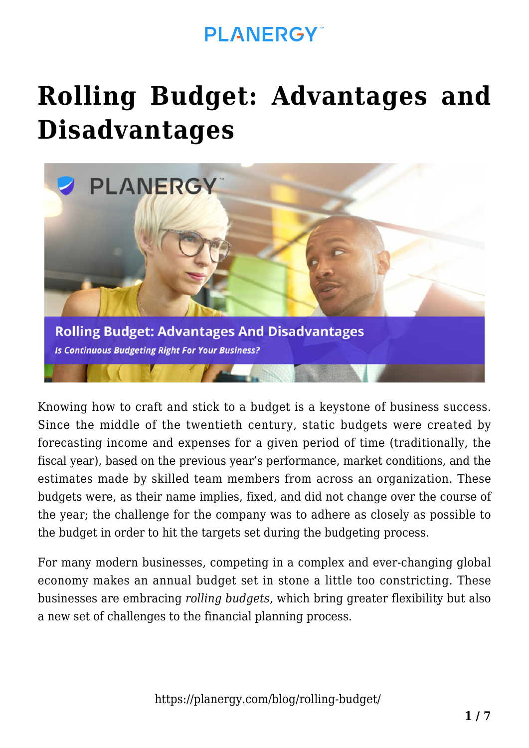# **[Rolling Budget: Advantages and](https://planergy.com/blog/rolling-budget/) [Disadvantages](https://planergy.com/blog/rolling-budget/)**



Knowing how to craft and stick to a budget is a keystone of business success. Since the middle of the twentieth century, static budgets were created by forecasting income and expenses for a given period of time (traditionally, the fiscal year), based on the previous year's performance, market conditions, and the estimates made by skilled team members from across an organization. These budgets were, as their name implies, fixed, and did not change over the course of the year; the challenge for the company was to adhere as closely as possible to the budget in order to hit the targets set during the budgeting process.

For many modern businesses, competing in a complex and ever-changing global economy makes an annual budget set in stone a little too constricting. These businesses are embracing *rolling budgets*, which bring greater flexibility but also a new set of challenges to the financial planning process.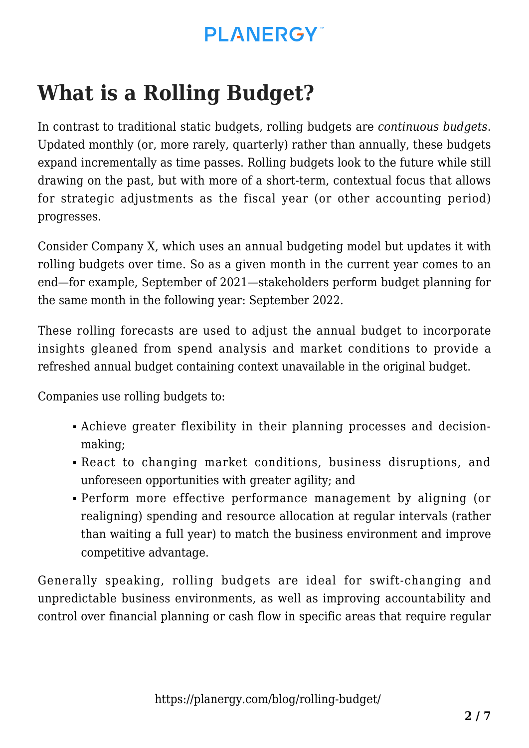## **What is a Rolling Budget?**

In contrast to traditional static budgets, rolling budgets are *continuous budgets*. Updated monthly (or, more rarely, quarterly) rather than annually, these budgets expand incrementally as time passes. Rolling budgets look to the future while still drawing on the past, but with more of a short-term, contextual focus that allows for strategic adjustments as the fiscal year (or other accounting period) progresses.

Consider Company X, which uses an annual budgeting model but updates it with rolling budgets over time. So as a given month in the current year comes to an end—for example, September of 2021—stakeholders perform budget planning for the same month in the following year: September 2022.

These [rolling forecasts](https://planergy.com/blog/rolling-forecast-best-practices/) are used to adjust the annual budget to incorporate insights gleaned from spend analysis and market conditions to provide a refreshed annual budget containing context unavailable in the original budget.

Companies use rolling budgets to:

- Achieve greater flexibility in their planning processes and decisionmaking;
- React to changing market conditions, business disruptions, and unforeseen opportunities with greater agility; and
- Perform more effective performance management by aligning (or realigning) spending and resource allocation at regular intervals (rather than waiting a full year) to match the business environment and improve competitive advantage.

Generally speaking, rolling budgets are ideal for swift-changing and unpredictable business environments, as well as improving accountability and control over financial planning or cash flow in specific areas that require regular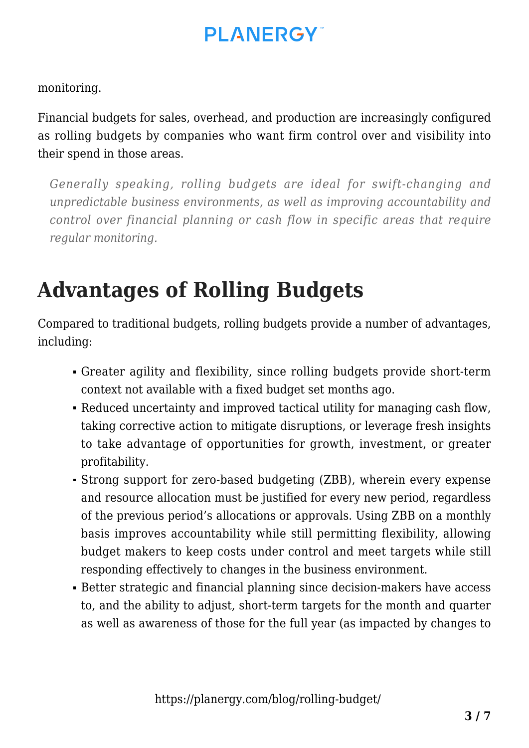### **PI ANFRGY**

monitoring.

Financial budgets for sales, overhead, and production are increasingly configured as rolling budgets by companies who want firm control over and visibility into their spend in those areas.

*Generally speaking, rolling budgets are ideal for swift-changing and unpredictable business environments, as well as improving accountability and control over financial planning or cash flow in specific areas that require regular monitoring.*

## **Advantages of Rolling Budgets**

Compared to traditional budgets, rolling budgets provide a number of advantages, including:

- Greater agility and flexibility, since rolling budgets provide short-term context not available with a fixed budget set months ago.
- Reduced uncertainty and improved tactical utility for managing cash flow, taking corrective action to mitigate disruptions, or leverage fresh insights to take advantage of opportunities for growth, investment, or greater profitability.
- Strong support for [zero-based budgeting](https://planergy.com/blog/zero-based-budgeting/) (ZBB), wherein every expense and resource allocation must be justified for every new period, regardless of the previous period's allocations or approvals. Using ZBB on a monthly basis improves accountability while still permitting flexibility, allowing budget makers to keep costs under control and meet targets while still responding effectively to changes in the business environment.
- Better strategic and financial planning since decision-makers have access to, and the ability to adjust, short-term targets for the month and quarter as well as awareness of those for the full year (as impacted by changes to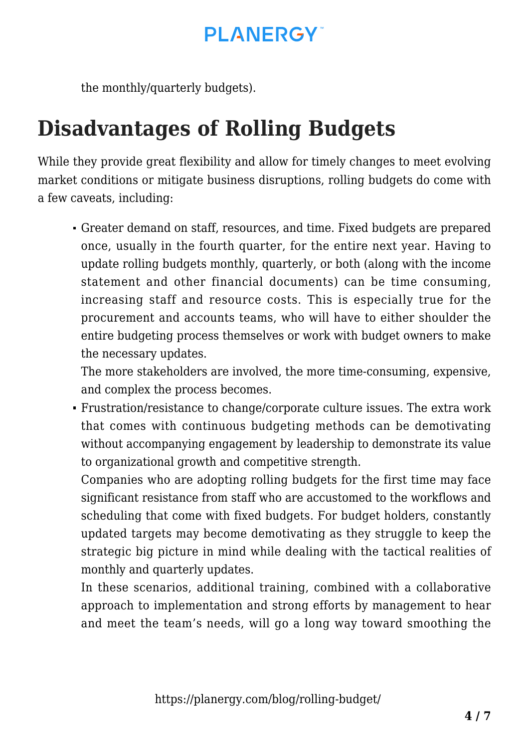the monthly/quarterly budgets).

## **Disadvantages of Rolling Budgets**

While they provide great flexibility and allow for timely changes to meet evolving market conditions or mitigate business disruptions, rolling budgets do come with a few caveats, including:

Greater demand on staff, resources, and time. Fixed budgets are prepared once, usually in the fourth quarter, for the entire next year. Having to update rolling budgets monthly, quarterly, or both (along with the income statement and other financial documents) can be time consuming, increasing staff and resource costs. This is especially true for the procurement and accounts teams, who will have to either shoulder the [entire budgeting process](https://planergy.com/blog/types-of-budgets-in-accounting/) themselves or work with budget owners to make the necessary updates.

The more stakeholders are involved, the more time-consuming, expensive, and complex the process becomes.

Frustration/resistance to change/corporate culture issues. The extra work that comes with continuous budgeting methods can be demotivating without accompanying engagement by leadership to demonstrate its value to organizational growth and competitive strength.

Companies who are adopting rolling budgets for the first time may face significant resistance from staff who are accustomed to the workflows and scheduling that come with fixed budgets. For budget holders, constantly updated targets may become demotivating as they struggle to keep the strategic big picture in mind while dealing with the tactical realities of monthly and quarterly updates.

In these scenarios, additional training, combined with a collaborative approach to implementation and strong efforts by management to hear and meet the team's needs, will go a long way toward smoothing the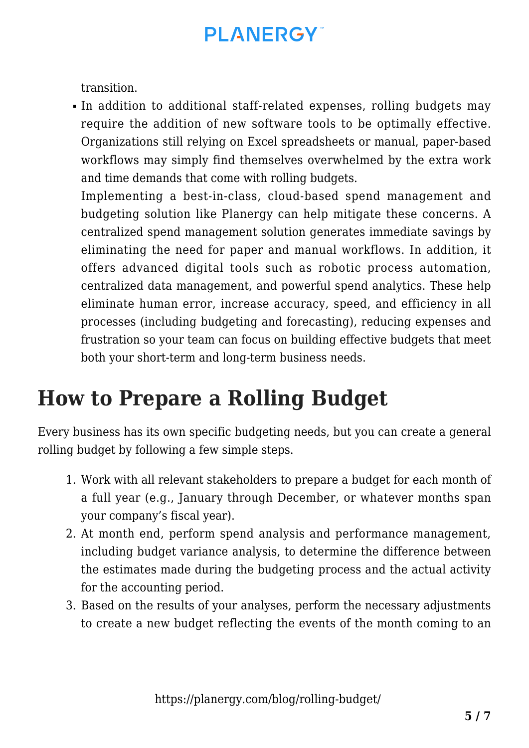transition.

In addition to additional staff-related expenses, rolling budgets may require the addition of new software tools to be optimally effective. Organizations still relying on Excel spreadsheets or manual, paper-based workflows may simply find themselves overwhelmed by the extra work and time demands that come with rolling budgets.

Implementing a best-in-class, cloud-based spend management and budgeting solution like Planergy can help mitigate these concerns. A centralized spend management solution generates immediate savings by eliminating the need for paper and manual workflows. In addition, it offers advanced digital tools such as robotic process automation, centralized data management, and powerful spend analytics. These help eliminate human error, increase accuracy, speed, and efficiency in all processes (including budgeting and forecasting), reducing expenses and frustration so your team can focus on building effective budgets that meet both your short-term and long-term business needs.

## **How to Prepare a Rolling Budget**

Every business has its own specific budgeting needs, but you can create a general rolling budget by following a few simple steps.

- 1. Work with all relevant stakeholders to prepare a budget for each month of a full year (e.g., January through December, or whatever months span your company's fiscal year).
- 2. At [month end,](https://planergy.com/blog/month-end-closing-process/) perform spend analysis and performance management, including [budget variance analysis,](https://planergy.com/blog/budget-variance-analysis/) to determine the difference between the estimates made during the budgeting process and the actual activity for the accounting period.
- 3. Based on the results of your analyses, perform the necessary adjustments to create a new budget reflecting the events of the month coming to an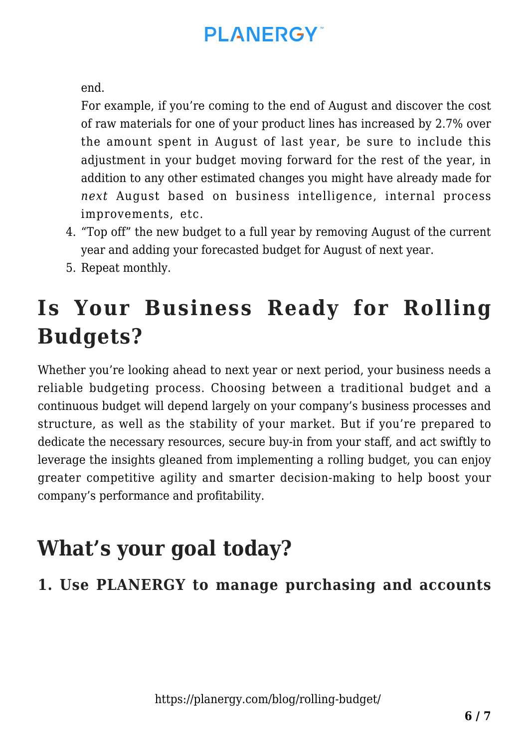end.

For example, if you're coming to the end of August and discover the cost of raw materials for one of your product lines has increased by 2.7% over the amount spent in August of last year, be sure to include this adjustment in your budget moving forward for the rest of the year, in addition to any other estimated changes you might have already made for *next* August based on business intelligence, internal process improvements, etc.

- 4. "Top off" the new budget to a full year by removing August of the current year and adding your forecasted budget for August of next year.
- 5. Repeat monthly.

## **Is Your Business Ready for Rolling Budgets?**

Whether you're looking ahead to next year or next period, your business needs a reliable budgeting process. Choosing between a traditional budget and a continuous budget will depend largely on your company's business processes and structure, as well as the stability of your market. But if you're prepared to dedicate the necessary resources, secure buy-in from your staff, and act swiftly to leverage the insights gleaned from implementing a rolling budget, you can enjoy greater competitive agility and smarter decision-making to help boost your company's performance and profitability.

## **What's your goal today?**

#### **1. Use PLANERGY to manage purchasing and accounts**